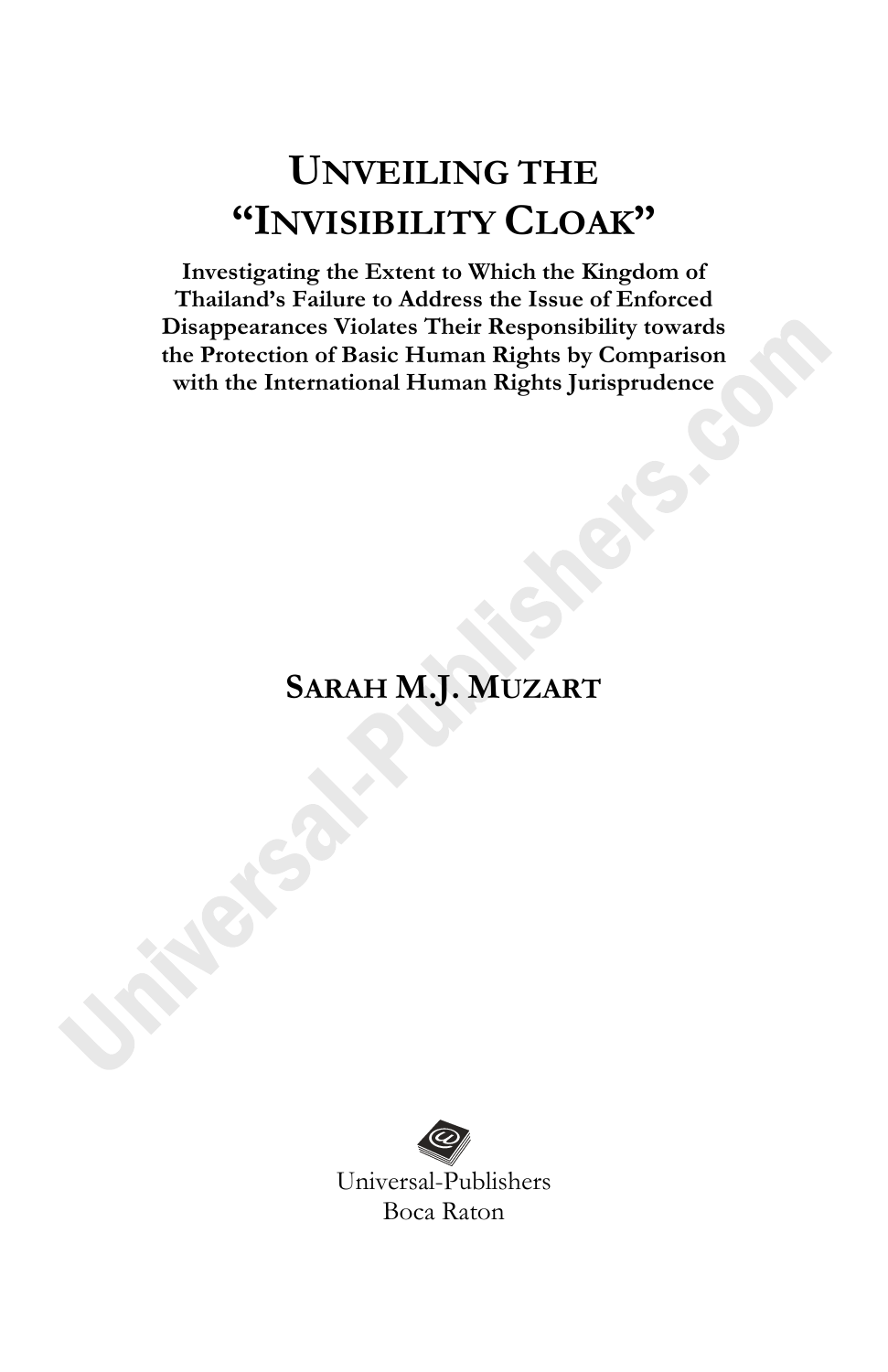**Investigating the Extent to Which the Kingdom of Thailand's Failure to Address the Issue of Enforced Disappearances Violates Their Responsibility towards the Protection of Basic Human Rights by Comparison with the International Human Rights Jurisprudence**

## **SARAH M.J. MUZART**

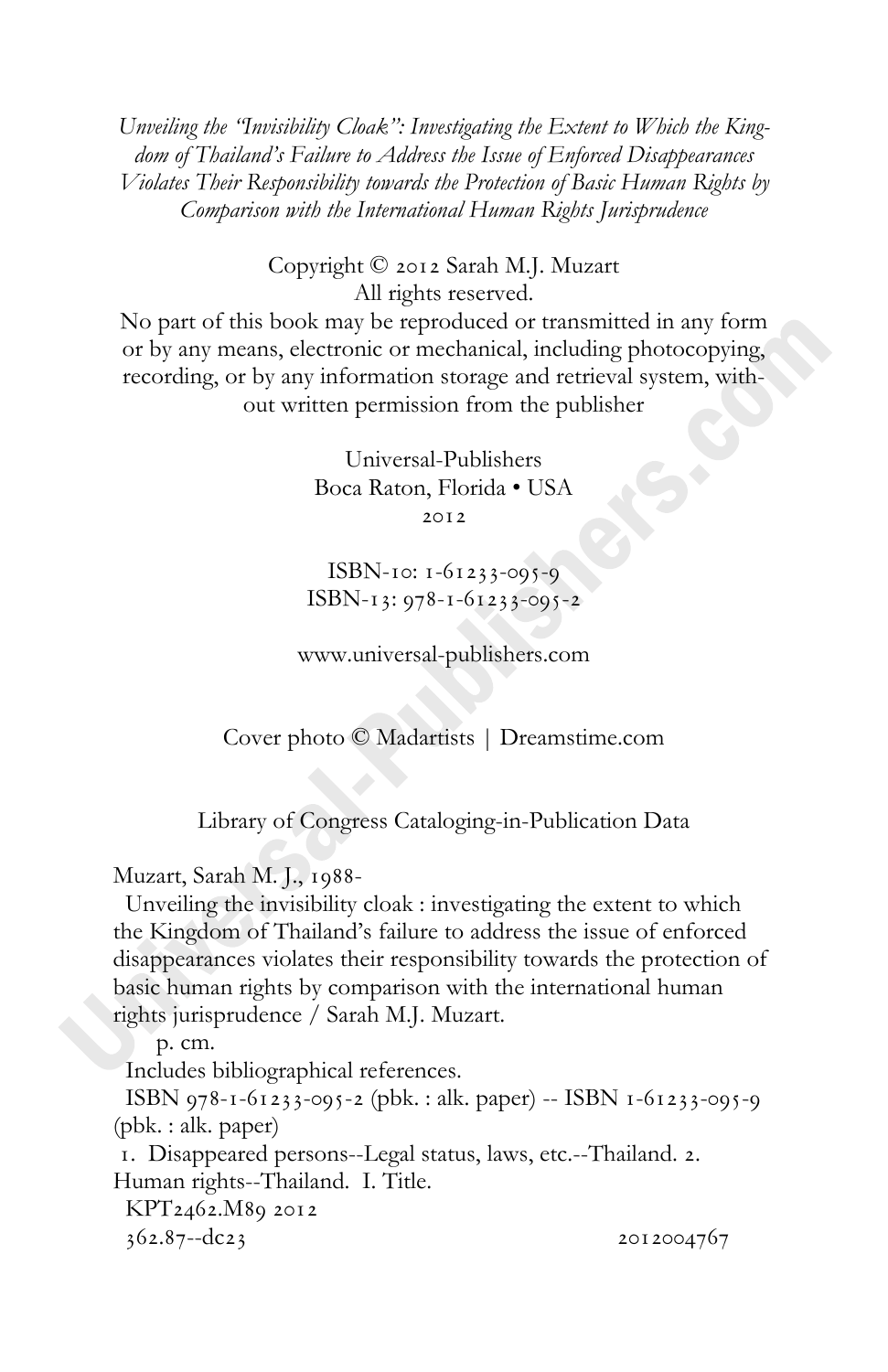*Unveiling the "Invisibility Cloak": Investigating the Extent to Which the Kingdom of Thailand's Failure to Address the Issue of Enforced Disappearances Violates Their Responsibility towards the Protection of Basic Human Rights by Comparison with the International Human Rights Jurisprudence* 

> Copyright © 2012 Sarah M.J. Muzart All rights reserved.

No part of this book may be reproduced or transmitted in any form or by any means, electronic or mechanical, including photocopying, recording, or by any information storage and retrieval system, without written permission from the publisher

> Universal-Publishers Boca Raton, Florida • USA  $20I2$

ISBN-10:  $1 - 61233 - 095 - 9$  $ISBN-13: 978-1-61233-095-2$ 

www.universal-publishers.com

Cover photo © Madartists | Dreamstime.com

Library of Congress Cataloging-in-Publication Data

Muzart, Sarah M. L., 1988-

 Unveiling the invisibility cloak : investigating the extent to which the Kingdom of Thailand's failure to address the issue of enforced disappearances violates their responsibility towards the protection of basic human rights by comparison with the international human rights jurisprudence / Sarah M.J. Muzart.

 p. cm. Includes bibliographical references. ISBN 978-1-61233-095-2 (pbk.: alk. paper) -- ISBN 1-61233-095-9 (pbk. : alk. paper) 1. Disappeared persons--Legal status, laws, etc.--Thailand. 2. Human rights--Thailand. I. Title. KPT2462.M89 2012  $362.87 - dcz$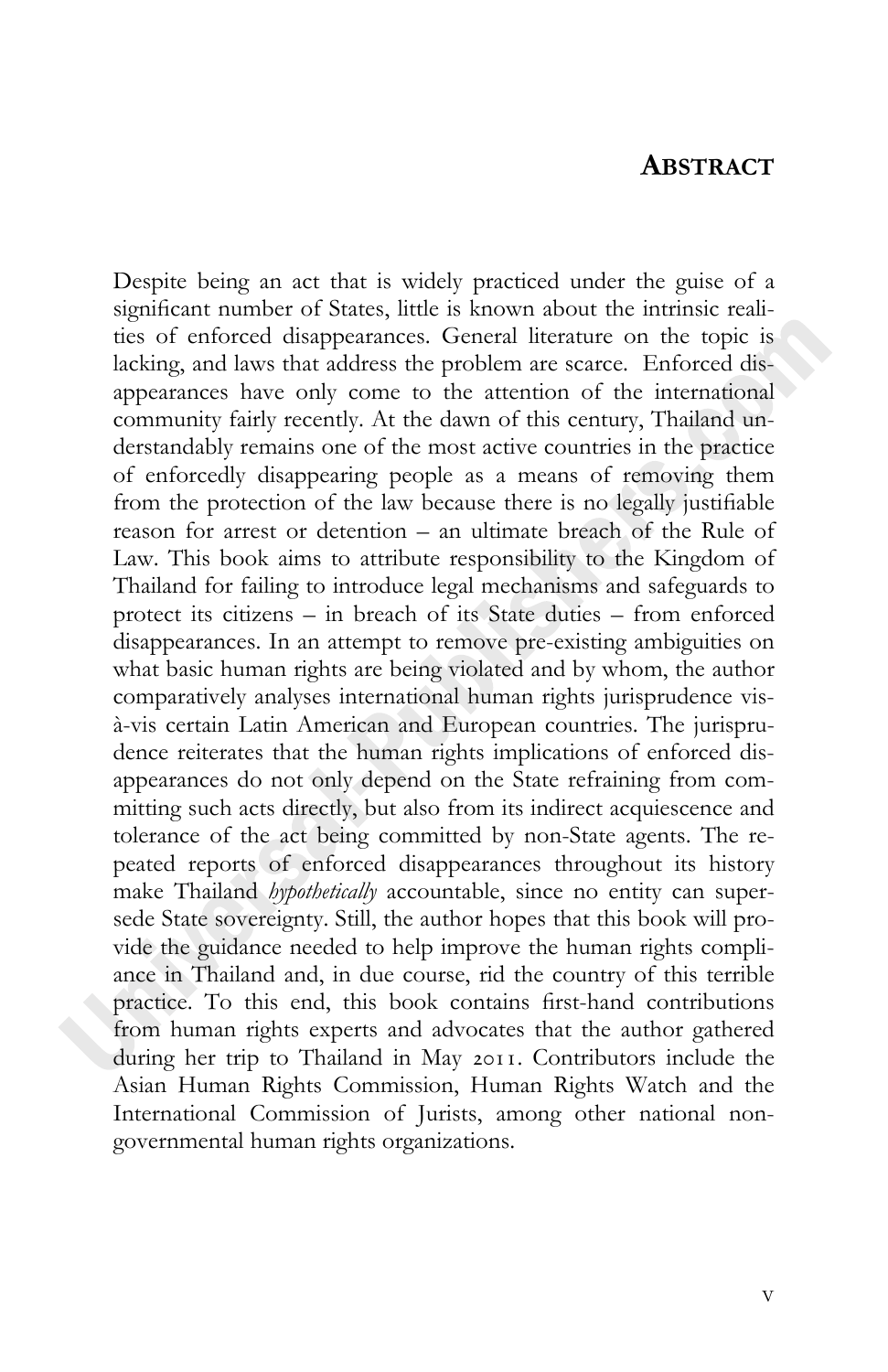### **ABSTRACT**

Despite being an act that is widely practiced under the guise of a significant number of States, little is known about the intrinsic realities of enforced disappearances. General literature on the topic is lacking, and laws that address the problem are scarce. Enforced disappearances have only come to the attention of the international community fairly recently. At the dawn of this century, Thailand understandably remains one of the most active countries in the practice of enforcedly disappearing people as a means of removing them from the protection of the law because there is no legally justifiable reason for arrest or detention – an ultimate breach of the Rule of Law. This book aims to attribute responsibility to the Kingdom of Thailand for failing to introduce legal mechanisms and safeguards to protect its citizens – in breach of its State duties – from enforced disappearances. In an attempt to remove pre-existing ambiguities on what basic human rights are being violated and by whom, the author comparatively analyses international human rights jurisprudence visà-vis certain Latin American and European countries. The jurisprudence reiterates that the human rights implications of enforced disappearances do not only depend on the State refraining from committing such acts directly, but also from its indirect acquiescence and tolerance of the act being committed by non-State agents. The repeated reports of enforced disappearances throughout its history make Thailand *hypothetically* accountable, since no entity can supersede State sovereignty. Still, the author hopes that this book will provide the guidance needed to help improve the human rights compliance in Thailand and, in due course, rid the country of this terrible practice. To this end, this book contains first-hand contributions from human rights experts and advocates that the author gathered during her trip to Thailand in May 2011. Contributors include the Asian Human Rights Commission, Human Rights Watch and the International Commission of Jurists, among other national nongovernmental human rights organizations.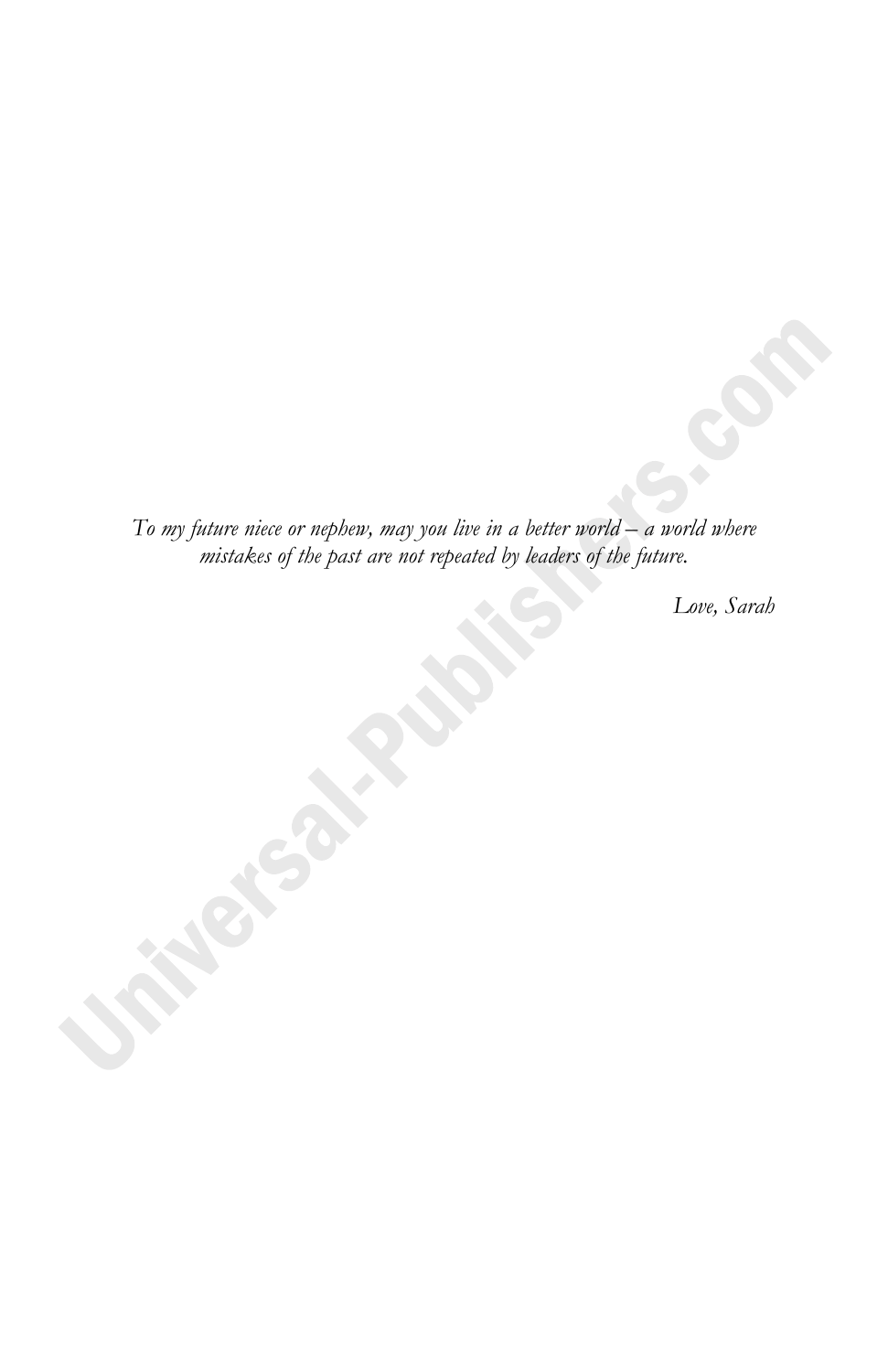*To my future niece or nephew, may you live in a better world – a world where mistakes of the past are not repeated by leaders of the future.* 

*Love, Sarah*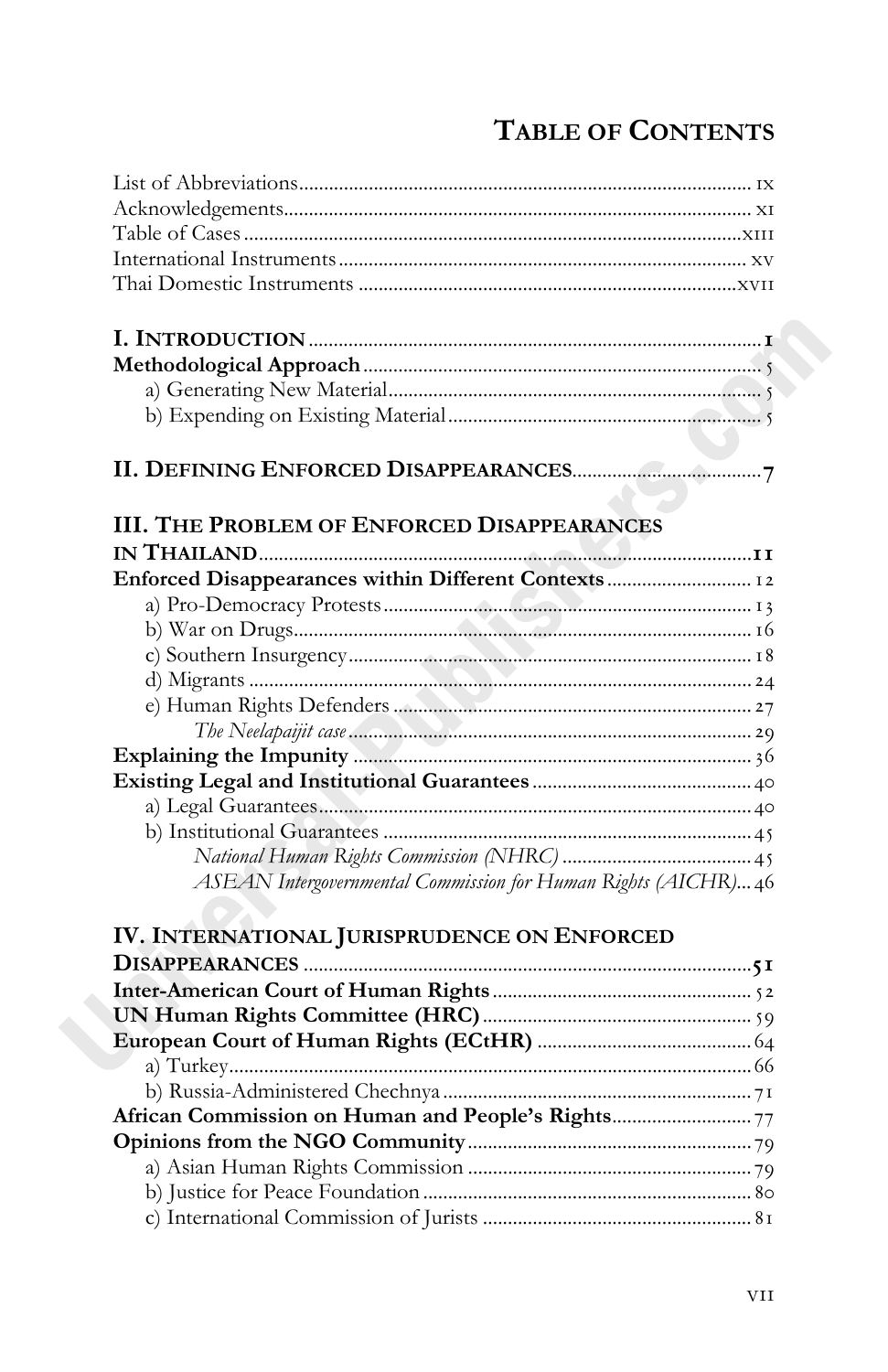## **TABLE OF CONTENTS**

| <b>III. THE PROBLEM OF ENFORCED DISAPPEARANCES</b>             |
|----------------------------------------------------------------|
|                                                                |
|                                                                |
|                                                                |
|                                                                |
|                                                                |
|                                                                |
|                                                                |
|                                                                |
|                                                                |
|                                                                |
|                                                                |
|                                                                |
|                                                                |
| ASEAN Intergovernmental Commission for Human Rights (AICHR) 46 |
| IV. INTERNATIONAL JURISPRUDENCE ON ENFORCED                    |
|                                                                |
|                                                                |
|                                                                |
|                                                                |
|                                                                |
|                                                                |
|                                                                |
|                                                                |
|                                                                |
|                                                                |
|                                                                |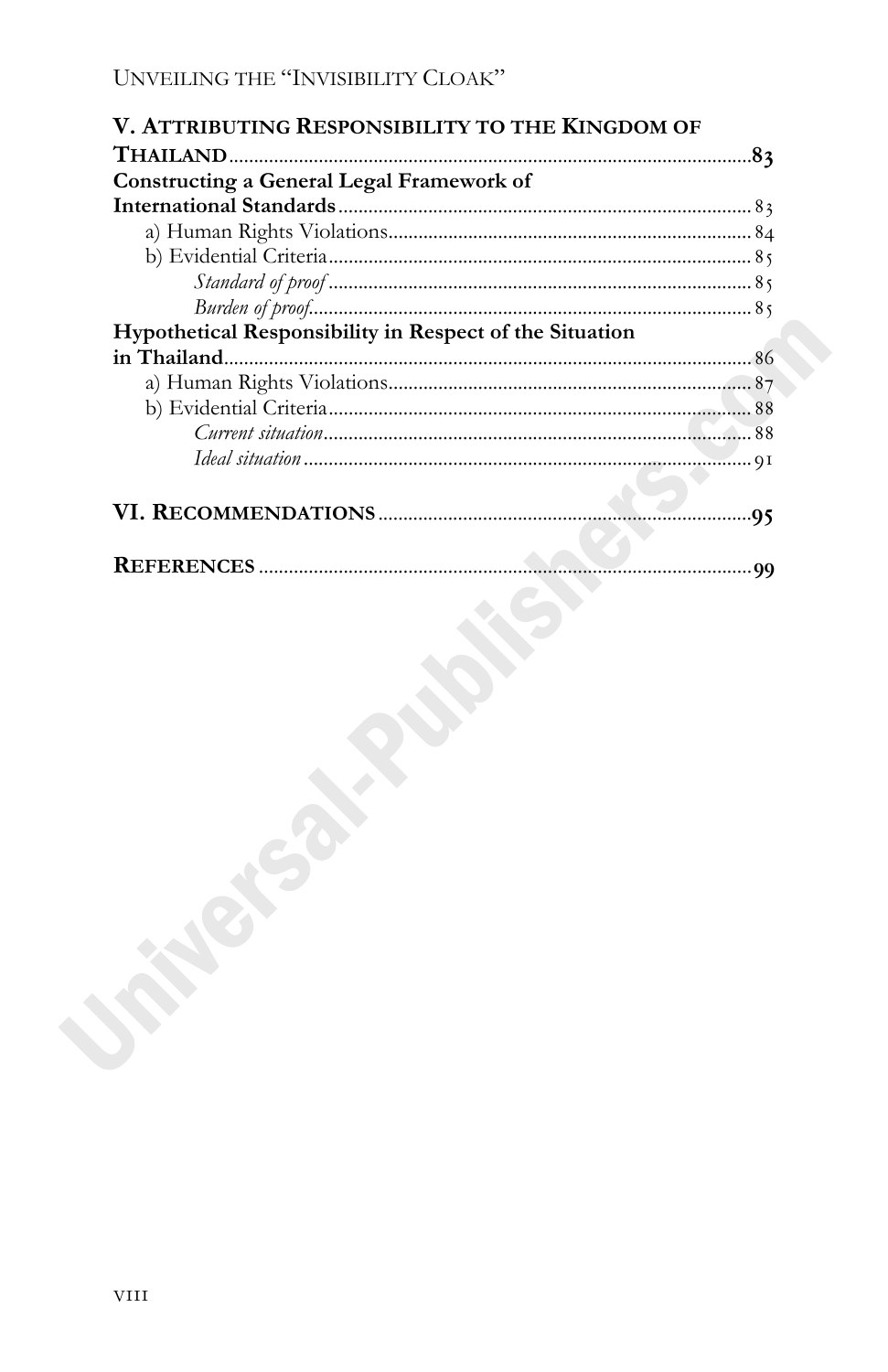| V. ATTRIBUTING RESPONSIBILITY TO THE KINGDOM OF         |  |
|---------------------------------------------------------|--|
|                                                         |  |
| Constructing a General Legal Framework of               |  |
|                                                         |  |
|                                                         |  |
|                                                         |  |
|                                                         |  |
|                                                         |  |
| Hypothetical Responsibility in Respect of the Situation |  |
|                                                         |  |
|                                                         |  |
|                                                         |  |
|                                                         |  |
|                                                         |  |
|                                                         |  |
|                                                         |  |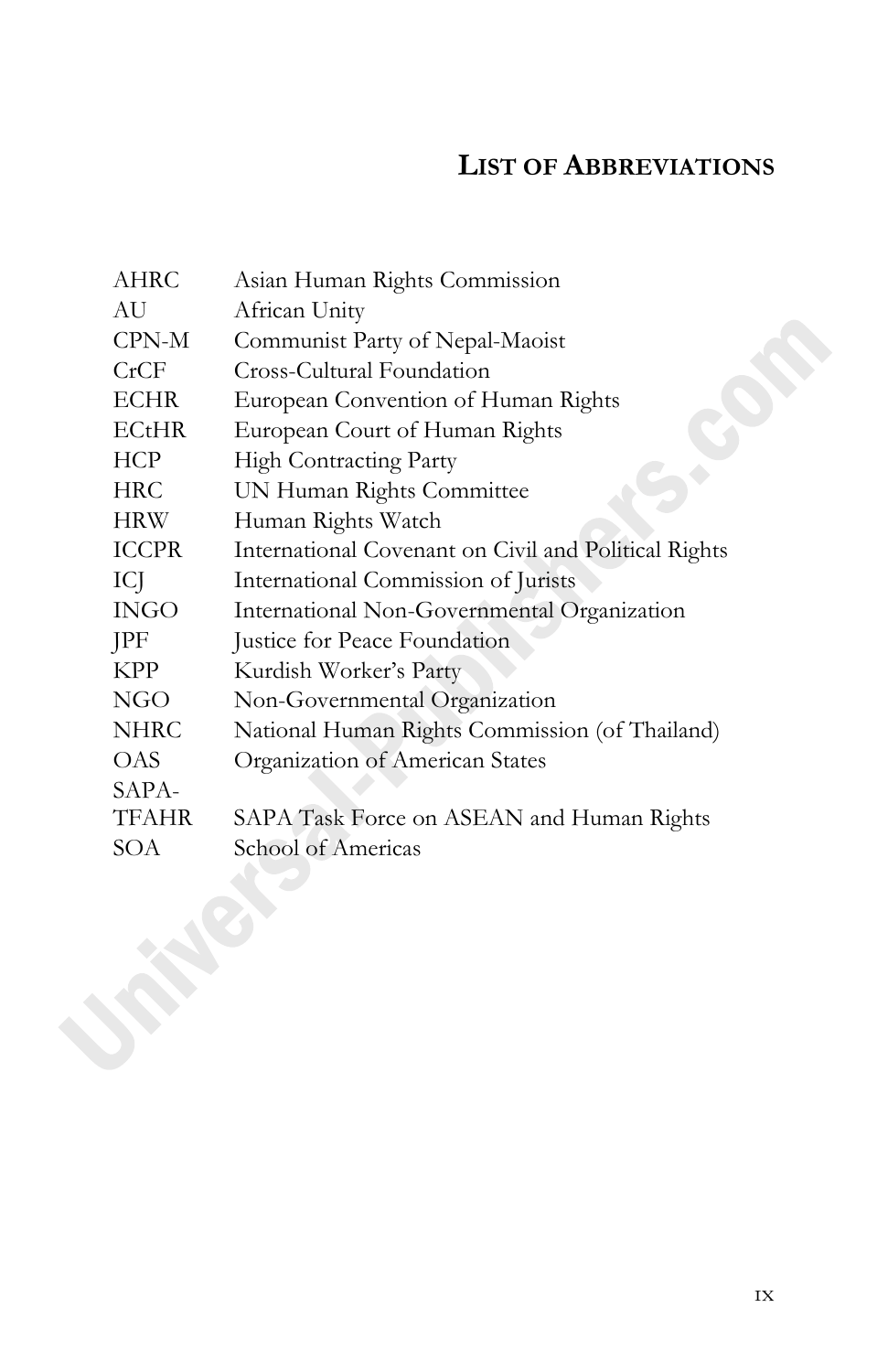## **LIST OF ABBREVIATIONS**

| AHRC         | Asian Human Rights Commission                        |
|--------------|------------------------------------------------------|
| AU           | African Unity                                        |
| CPN-M        | Communist Party of Nepal-Maoist                      |
| CrCF         | Cross-Cultural Foundation                            |
| <b>ECHR</b>  | European Convention of Human Rights                  |
| <b>ECtHR</b> | European Court of Human Rights                       |
| HCP          | High Contracting Party                               |
| HRC          | UN Human Rights Committee                            |
| <b>HRW</b>   | Human Rights Watch                                   |
| <b>ICCPR</b> | International Covenant on Civil and Political Rights |
| ICJ          | International Commission of Jurists                  |
| INGO         | International Non-Governmental Organization          |
| JPF          | Justice for Peace Foundation                         |
| <b>KPP</b>   | Kurdish Worker's Party                               |
| <b>NGO</b>   | Non-Governmental Organization                        |
| NHRC         | National Human Rights Commission (of Thailand)       |
| OAS          | Organization of American States                      |
| SAPA-        |                                                      |
| TFAHR        | SAPA Task Force on ASEAN and Human Rights            |
| SOA          | School of Americas                                   |
|              |                                                      |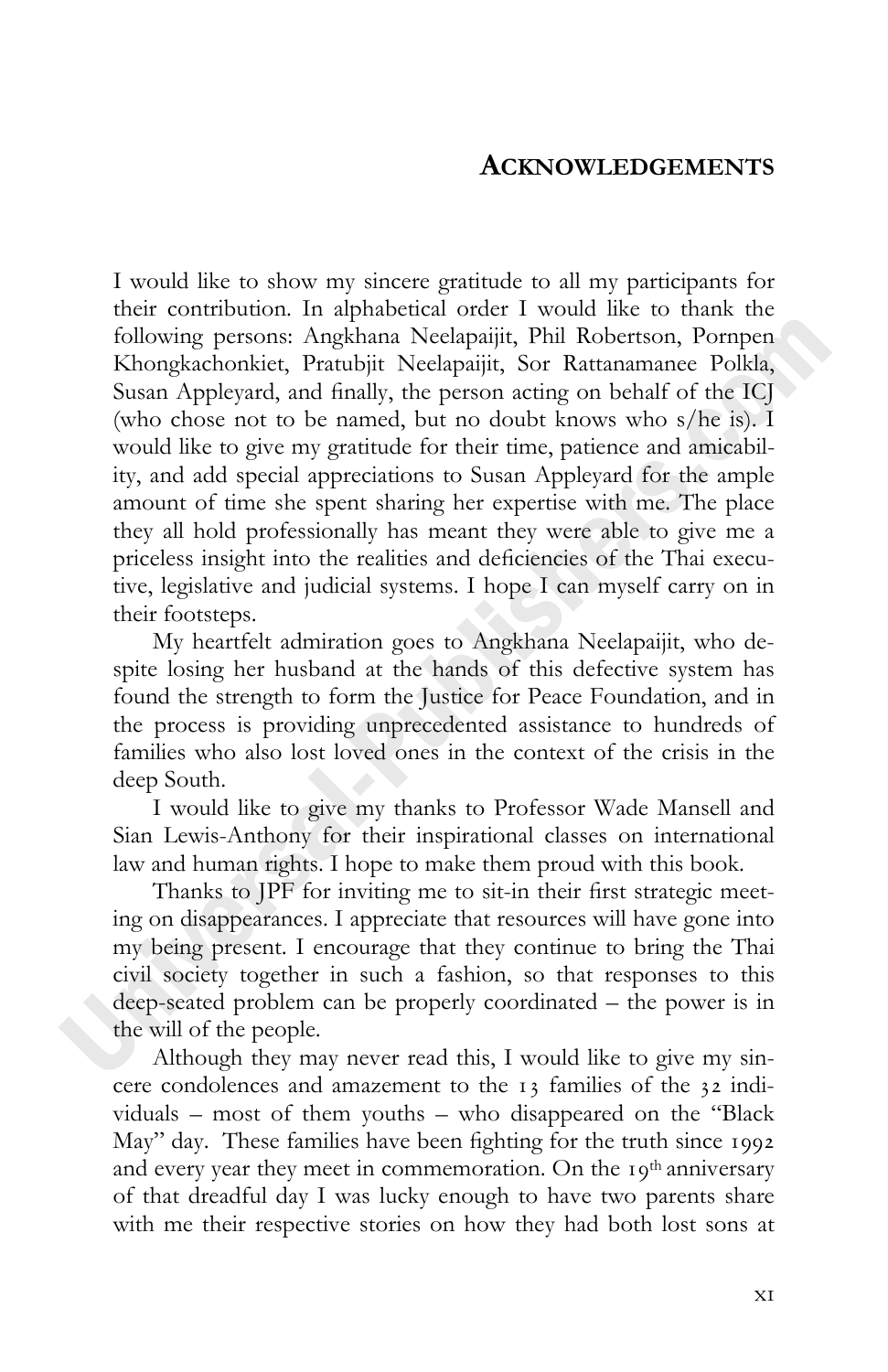## **ACKNOWLEDGEMENTS**

I would like to show my sincere gratitude to all my participants for their contribution. In alphabetical order I would like to thank the following persons: Angkhana Neelapaijit, Phil Robertson, Pornpen Khongkachonkiet, Pratubjit Neelapaijit, Sor Rattanamanee Polkla, Susan Appleyard, and finally, the person acting on behalf of the ICJ (who chose not to be named, but no doubt knows who s/he is). I would like to give my gratitude for their time, patience and amicability, and add special appreciations to Susan Appleyard for the ample amount of time she spent sharing her expertise with me. The place they all hold professionally has meant they were able to give me a priceless insight into the realities and deficiencies of the Thai executive, legislative and judicial systems. I hope I can myself carry on in their footsteps.

My heartfelt admiration goes to Angkhana Neelapaijit, who despite losing her husband at the hands of this defective system has found the strength to form the Justice for Peace Foundation, and in the process is providing unprecedented assistance to hundreds of families who also lost loved ones in the context of the crisis in the deep South.

I would like to give my thanks to Professor Wade Mansell and Sian Lewis-Anthony for their inspirational classes on international law and human rights. I hope to make them proud with this book.

Thanks to JPF for inviting me to sit-in their first strategic meeting on disappearances. I appreciate that resources will have gone into my being present. I encourage that they continue to bring the Thai civil society together in such a fashion, so that responses to this deep-seated problem can be properly coordinated – the power is in the will of the people.

Although they may never read this, I would like to give my sincere condolences and amazement to the 13 families of the 32 individuals – most of them youths – who disappeared on the "Black May" day. These families have been fighting for the truth since 1992 and every year they meet in commemoration. On the 19<sup>th</sup> anniversary of that dreadful day I was lucky enough to have two parents share with me their respective stories on how they had both lost sons at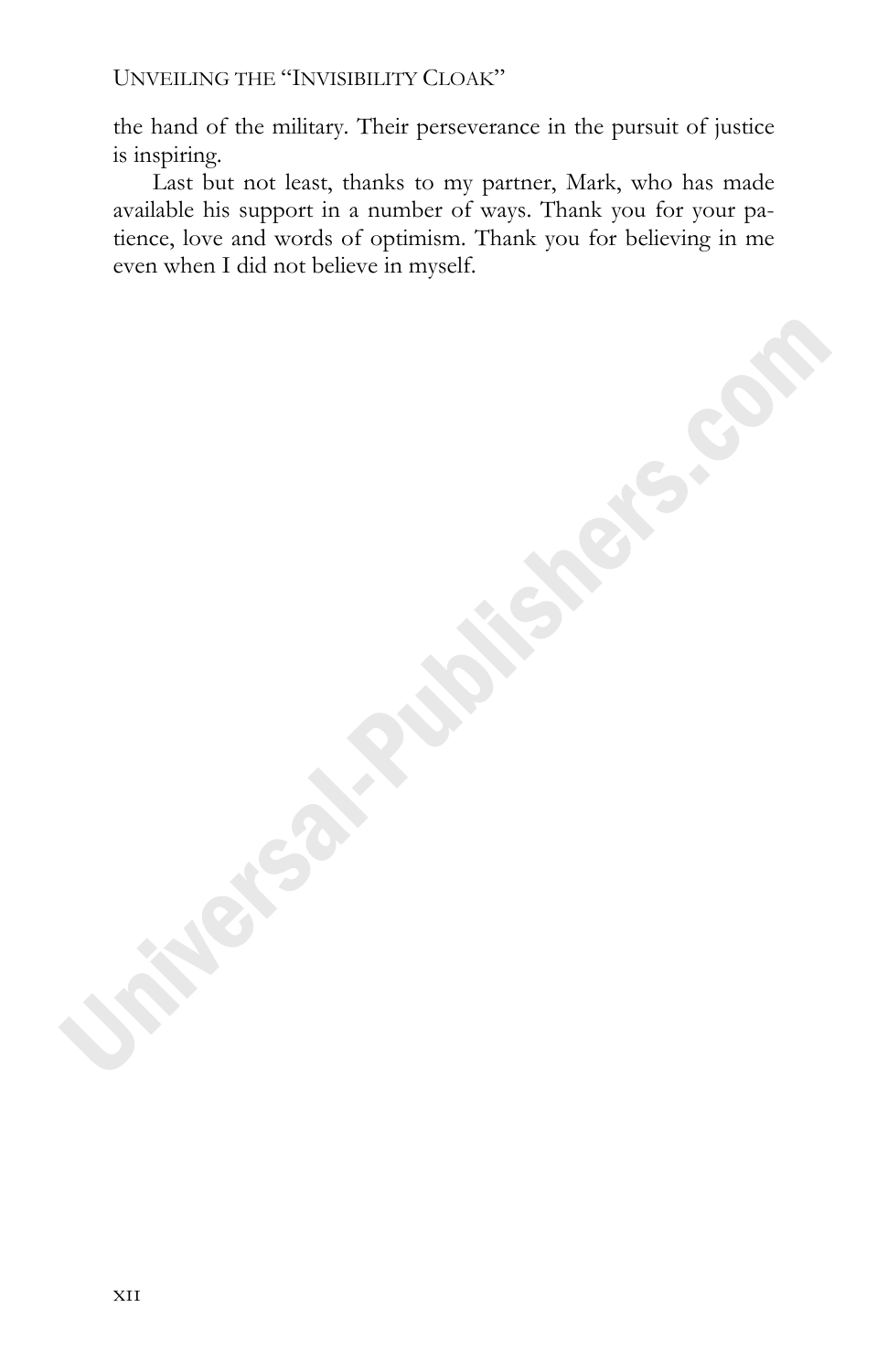the hand of the military. Their perseverance in the pursuit of justice is inspiring.

Last but not least, thanks to my partner, Mark, who has made available his support in a number of ways. Thank you for your patience, love and words of optimism. Thank you for believing in me even when I did not believe in myself.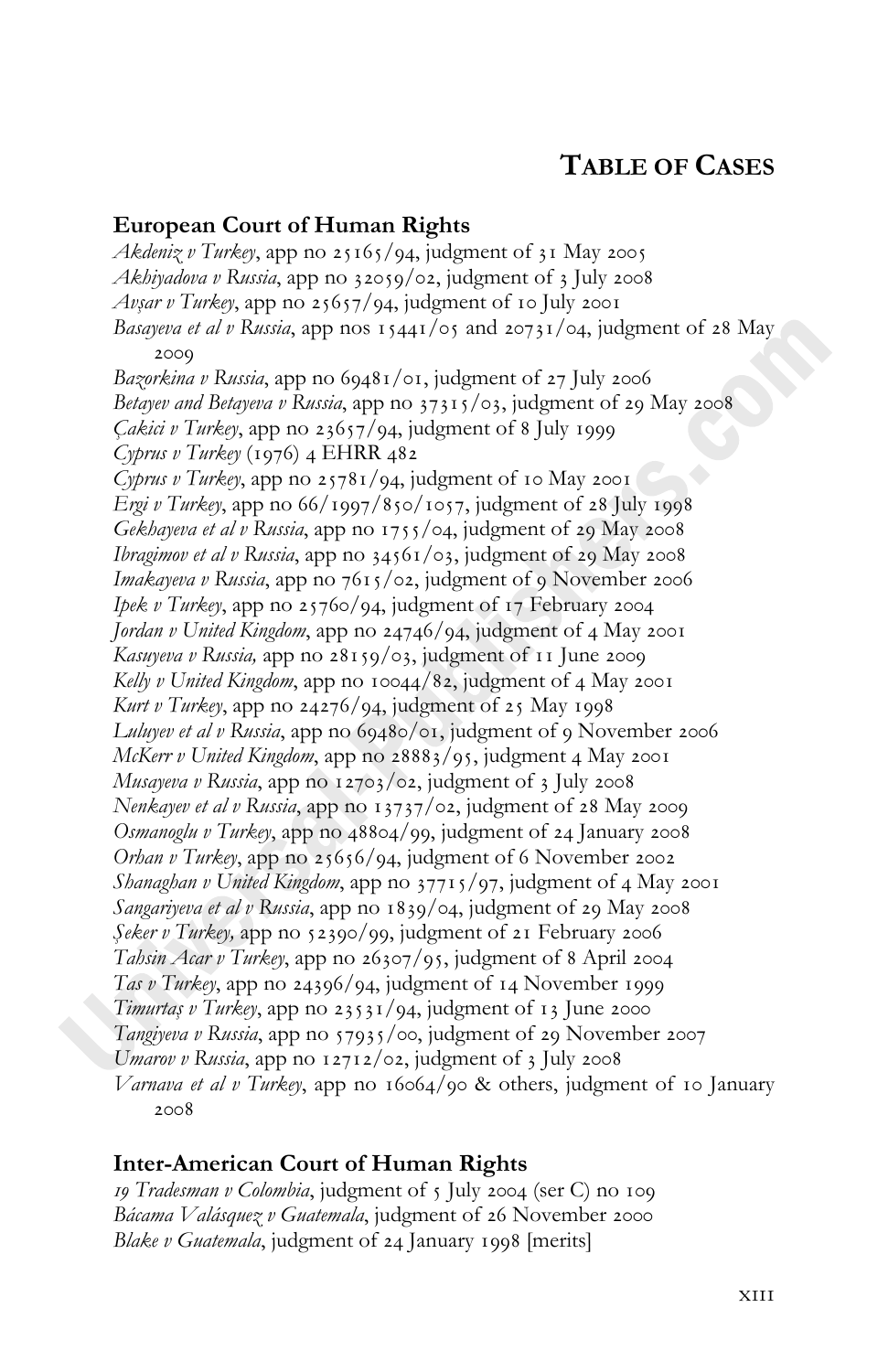## **TABLE OF CASES**

#### **European Court of Human Rights**

*Akdeniz v Turkey*, app no 25165/94, judgment of 31 May 2005 *Akhiyadova v Russia*, app no 32059/02, judgment of 3 July 2008 *Avşar v Turkey*, app no 25657/94, judgment of 10 July 2001 Basayeva et al v Russia, app nos 15441/05 and 20731/04, judgment of 28 May 2000 Bazorkina v Russia, app no 69481/01, judgment of 27 July 2006 *Betayev and Betayeva v Russia*, app no  $37315/\circ$ 3, judgment of 29 May 2008 *Çakici v Turkey*, app no 23657/94, judgment of 8 July 1999 *Cyprus v Turkey* (1976) 4 EHRR 482 *Cyprus v Turkey*, app no  $25781/94$ , judgment of 10 May 2001 *Ergi v Turkey*, app no 66/1997/850/1057, judgment of 28 July 1998 *Gekhayeva et al v Russia*, app no  $1755$ /04, judgment of 29 May 2008 *Ibragimov et al v Russia*, app no  $34561/\circ$ 3, judgment of 29 May 2008 *Imakayeva v Russia*, app no 7615/02, judgment of 9 November 2006 *Ipek v Turkey*, app no 25760/94, judgment of 17 February 2004 *Jordan v United Kingdom*, app no 24746/94, judgment of 4 May 2001 *Kasuyeva v Russia*, app no 28159/03, judgment of 11 June 2009 *Kelly v United Kingdom*, app no 10044/82, judgment of 4 May 2001 *Kurt v Turkey*, app no 24276/94, judgment of 25 May 1998 *Luluyev et al v Russia*, app no 69480/01, judgment of 9 November 2006 *McKerr v United Kingdom*, app no 28883/95, judgment 4 May 2001 *Musayeva v Russia*, app no 12703/02, judgment of 3 July 2008 *Nenkayev et al v Russia*, app no 13737/02, judgment of 28 May 2009 *Osmanoglu v Turkey*, app no 48804/99, judgment of 24 January 2008 *Orhan v Turkey*, app no 25656/94, judgment of 6 November 2002 *Shanaghan v United Kingdom*, app no 37715/97, judgment of 4 May 2001 *Sangariyeva et al v Russia*, app no 1839/04, judgment of 29 May 2008 *Şeker v Turkey*, app no 52390/99, judgment of 21 February 2006 *Tahsin Acar v Turkey*, app no  $26307/95$ , judgment of 8 April 2004 *Tas v Turkey*, app no 24396/94, judgment of 14 November 1999 *Timurtaş v Turkey*, app no 23531/94, judgment of 13 June 2000 *Tangiyeva v Russia*, app no 57935/00, judgment of 29 November 2007 *Umarov v Russia*, app no 12712/02, judgment of 3 July 2008 *Varnava et al v Turkey*, app no 16064/90 & others, judgment of 10 January  $2008$ 

#### **Inter-American Court of Human Rights**

*Ig Tradesman v Colombia*, judgment of 5 July 2004 (ser C) no 109 *Bácama Valásquez v Guatemala*, judgment of 26 November 2000 *Blake v Guatemala*, judgment of 24 January 1998 [merits]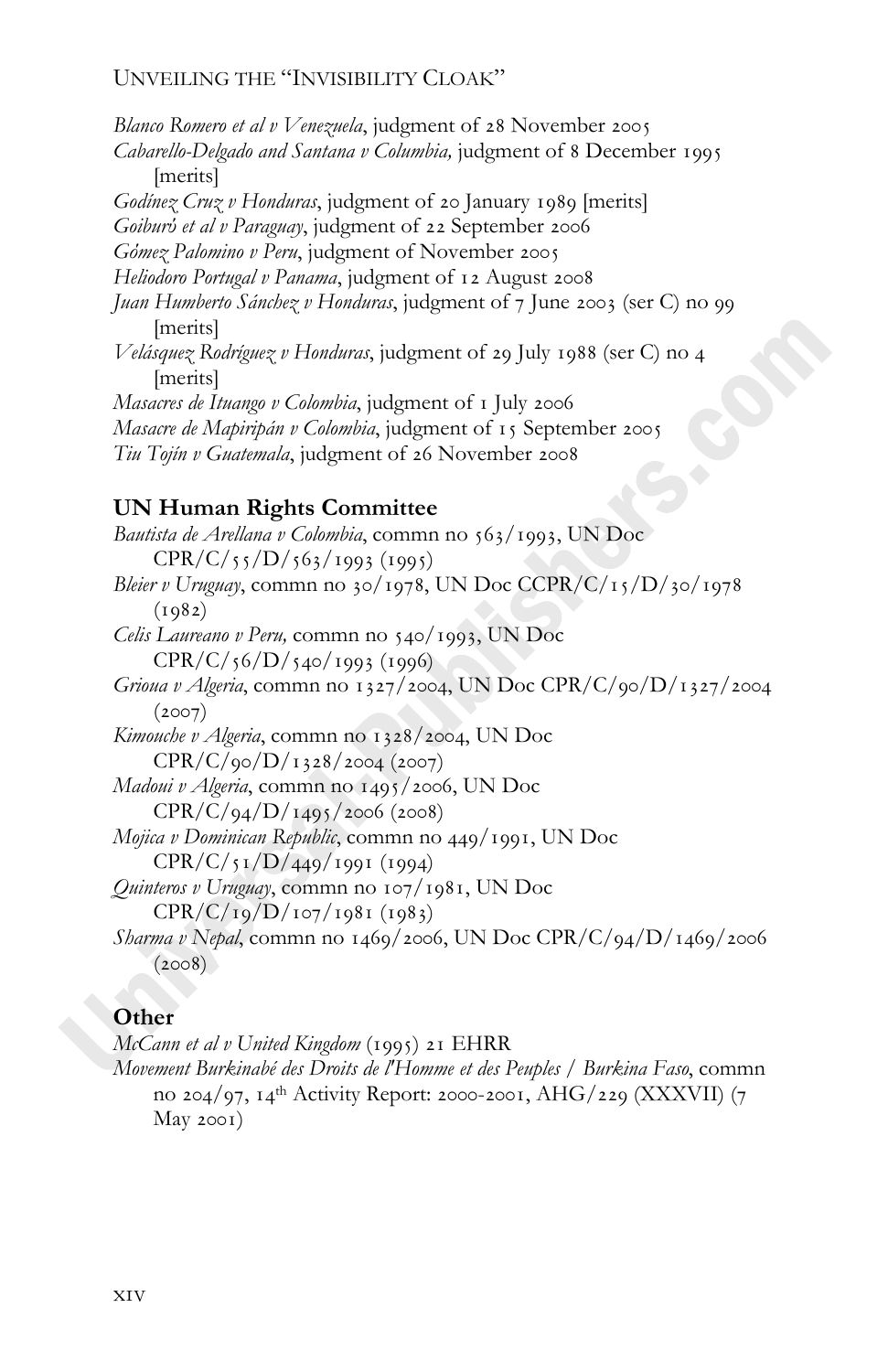*Blanco Romero et al v Venezuela*, judgment of 28 November 2005 *Cabarello-Delgado and Santana v Columbia,* judgment of 8 December 1995 [merits] *Godinez Cruz v Honduras*, judgment of 20 January 1989 [merits] *Goiburύ et al ν Paraguay*, judgment of 22 September 2006 *Gόmez Palomino v Peru*, judgment of November *Heliodoro Portugal v Panama*, judgment of 12 August 2008 *Juan Humberto Sánchez v Honduras*, judgment of 7 June 2003 (ser C) no 99 [merits] *Velásquez Rodríguez v Honduras*, judgment of 29 July 1988 (ser C) no 4 [merits] *Masacres de Ituango v Colombia*, judgment of 1 July 2006 *Masacre de Mapiripán v Colombia*, judgment of 15 September 2005 *Tiu Tojín v Guatemala*, judgment of 26 November 2008

### **UN Human Rights Committee**

Bautista de Arellana v Colombia, commn no 563/1993, UN Doc  $CPR/C/\frac{55}{D/\frac{563}{1993}}$  (1995) *Bleier v Uruguay*, commn no 30/1978, UN Doc CCPR/C/15/D/30/1978  $(1982)$ *Celis Laureano v Peru,* commn no 540/1993, UN Doc  $CPR/C/56/D/540/1993$  (1996) *Grioua v Algeria*, commn no 1327/2004, UN Doc CPR/C/90/D/1327/2004  $(2007)$ *Kimouche v Algeria*, commn no 1328/2004, UN Doc  $CPR/C/qo/D/T328/2004$  (2007) *Madoui v Algeria*, commn no 1495/2006, UN Doc  $CPR/C/q_4/D/r_{495}/2006$  (2008) *Mojica v Dominican Republic*, commn no 449/1991, UN Doc  $CPR/C/\frac{1}{D}/\frac{449}{1991}$  (1994) *Quinteros v Uruguay*, commn no 107/1981, UN Doc  $CPR/C/19/D/107/1981 (1983)$ *Sharma v Nepal*, commn no 1469/2006, UN Doc CPR/C/94/D/1469/2006  $(2008)$ 

#### **Other**

*McCann et al v United Kingdom* (1995) 21 EHRR

*Movement Burkinabé des Droits de l'Homme et des Peuples / Burkina Faso*, commn no 204/97, 14<sup>th</sup> Activity Report: 2000-2001, AHG/229 (XXXVII) (7  $May 2001)$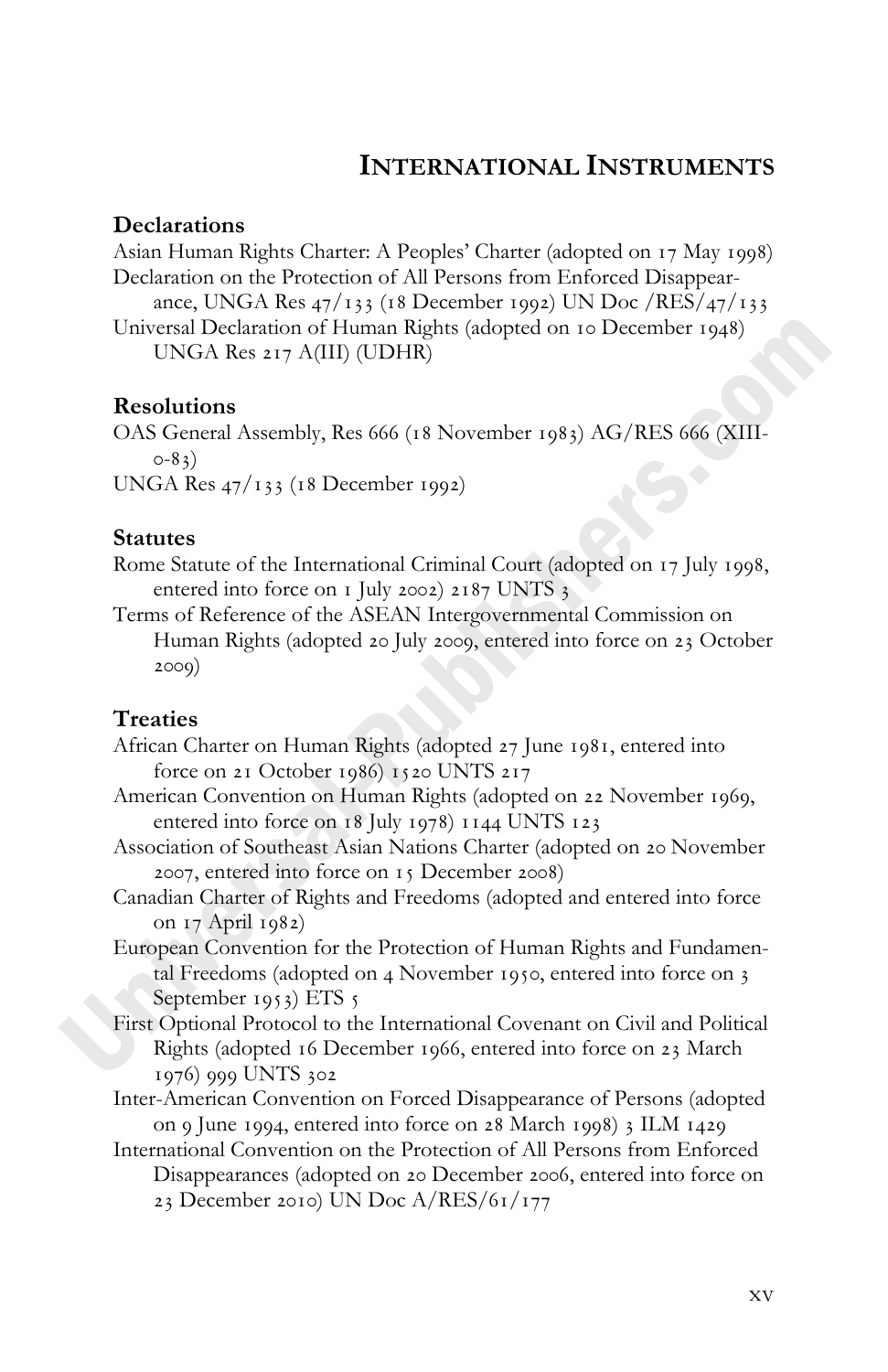## **INTERNATIONAL INSTRUMENTS**

#### **Declarations**

Asian Human Rights Charter: A Peoples' Charter (adopted on 17 May 1998) Declaration on the Protection of All Persons from Enforced Disappearance, UNGA Res  $47/133$  (18 December 1992) UN Doc /RES/ $47/133$ Universal Declaration of Human Rights (adopted on 10 December 1948) UNGA Res  $217$  A(III) (UDHR)

#### **Resolutions**

OAS General Assembly, Res 666 (18 November 1983) AG/RES 666 (XIII- $O-83)$ 

UNGA Res  $47/133$  (18 December 1992)

#### **Statutes**

Rome Statute of the International Criminal Court (adopted on 17 July 1998, entered into force on  $I$  July 2002) 2187 UNTS 3

Terms of Reference of the ASEAN Intergovernmental Commission on Human Rights (adopted 20 July 2009, entered into force on 23 October  $2009)$ 

#### **Treaties**

- African Charter on Human Rights (adopted 27 June 1981, entered into force on 21 October 1986) 1520 UNTS 217
- American Convention on Human Rights (adopted on 22 November 1969, entered into force on 18 July 1978) 1144 UNTS 123
- Association of Southeast Asian Nations Charter (adopted on 20 November  $2007$ , entered into force on  $15$  December  $2008$ )
- Canadian Charter of Rights and Freedoms (adopted and entered into force on 17 April 1982)
- European Convention for the Protection of Human Rights and Fundamental Freedoms (adopted on 4 November 1950, entered into force on 3 September 1953) ETS  $\frac{1}{5}$
- First Optional Protocol to the International Covenant on Civil and Political Rights (adopted 16 December 1966, entered into force on 23 March 1976) 999 UNTS 302
- Inter-American Convention on Forced Disappearance of Persons (adopted on 9 June 1994, entered into force on 28 March 1998) 3 ILM 1429
- International Convention on the Protection of All Persons from Enforced Disappearances (adopted on 20 December 2006, entered into force on 23 December 2010) UN Doc  $A/RES/61/177$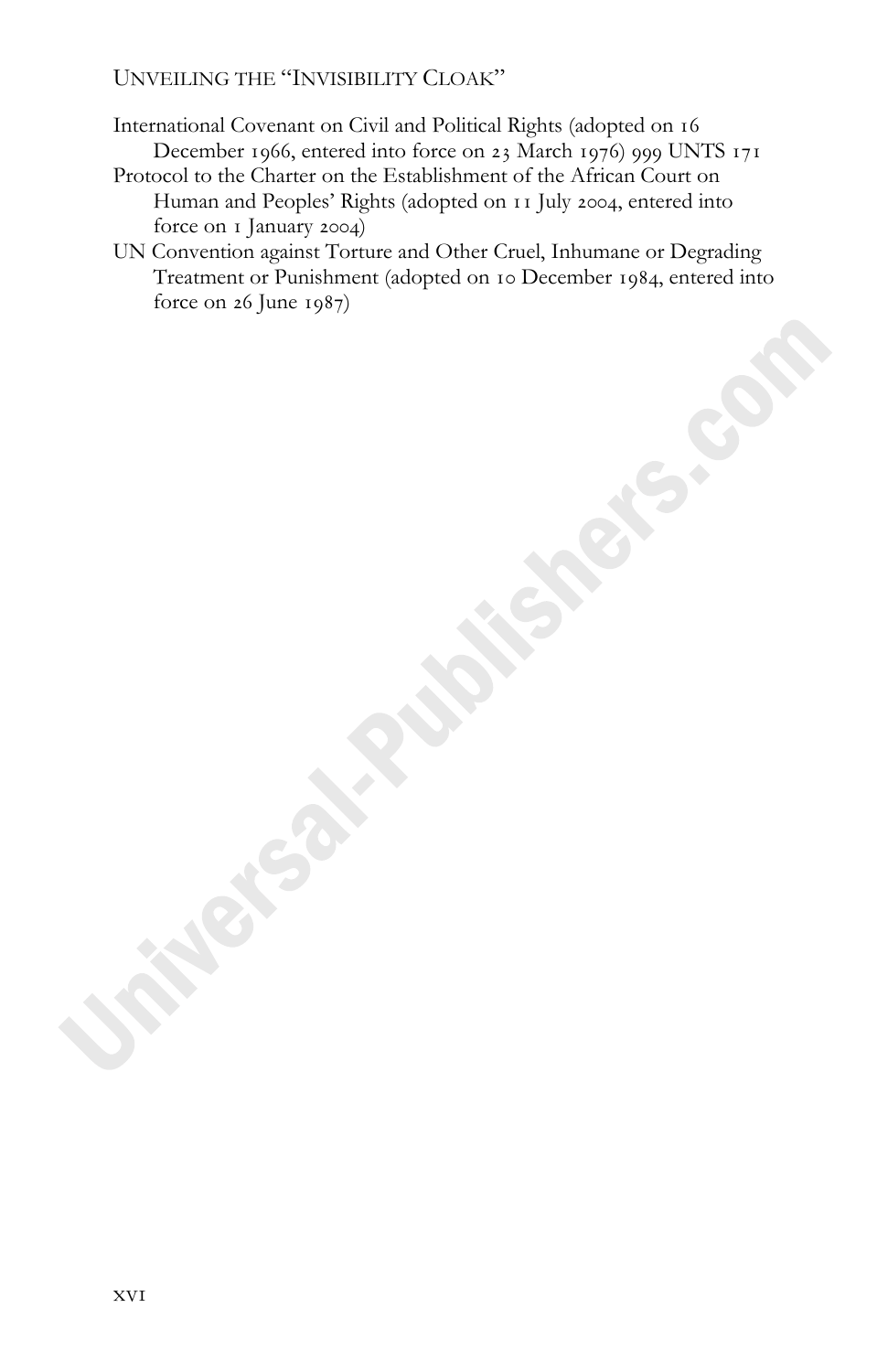- International Covenant on Civil and Political Rights (adopted on December 1966, entered into force on 23 March 1976) 999 UNTS 171
- Protocol to the Charter on the Establishment of the African Court on Human and Peoples' Rights (adopted on 11 July 2004, entered into force on I January 2004)
- UN Convention against Torture and Other Cruel, Inhumane or Degrading Treatment or Punishment (adopted on 10 December 1984, entered into force on  $26$  June  $1987$ )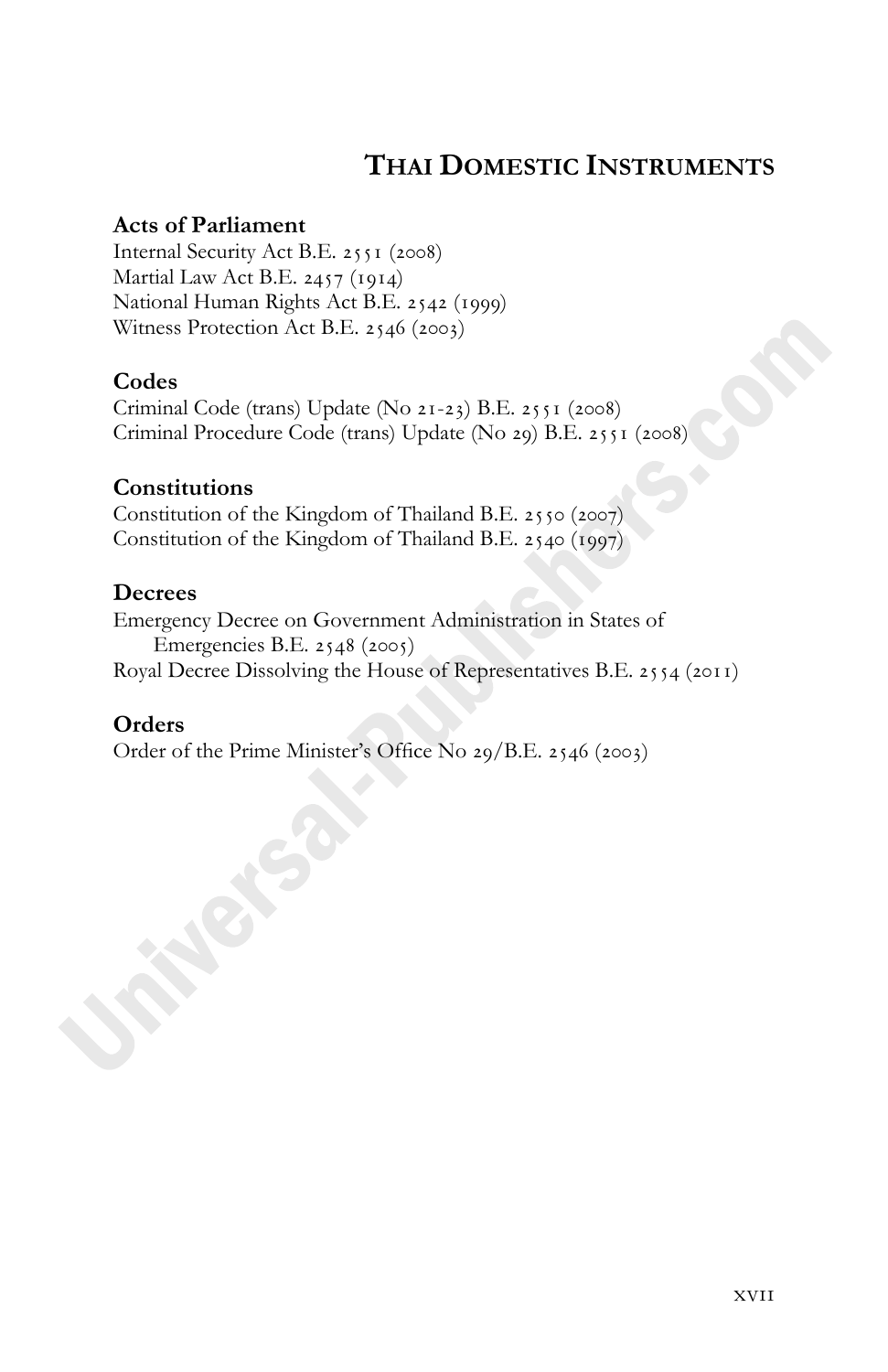## **THAI DOMESTIC INSTRUMENTS**

#### **Acts of Parliament**

Internal Security Act B.E. 2551 (2008) Martial Law Act B.E.  $2457$  (1914) National Human Rights Act B.E. 2542 (1999) Witness Protection Act B.E. 2546 (2003)

#### **Codes**

Criminal Code (trans) Update (No  $2I-23$ ) B.E.  $255I$  (2008) Criminal Procedure Code (trans) Update (No 29) B.E. 2551 (2008)

#### **Constitutions**

Constitution of the Kingdom of Thailand B.E.  $2550$  ( $2007$ ) Constitution of the Kingdom of Thailand B.E.  $2540$  (1997)

#### **Decrees**

Emergency Decree on Government Administration in States of Emergencies B.E.  $2548$  ( $2005$ ) Royal Decree Dissolving the House of Representatives B.E.  $2554$  ( $2011$ )

#### **Orders**

Order of the Prime Minister's Office No  $29/B.E. 2546$  (2003)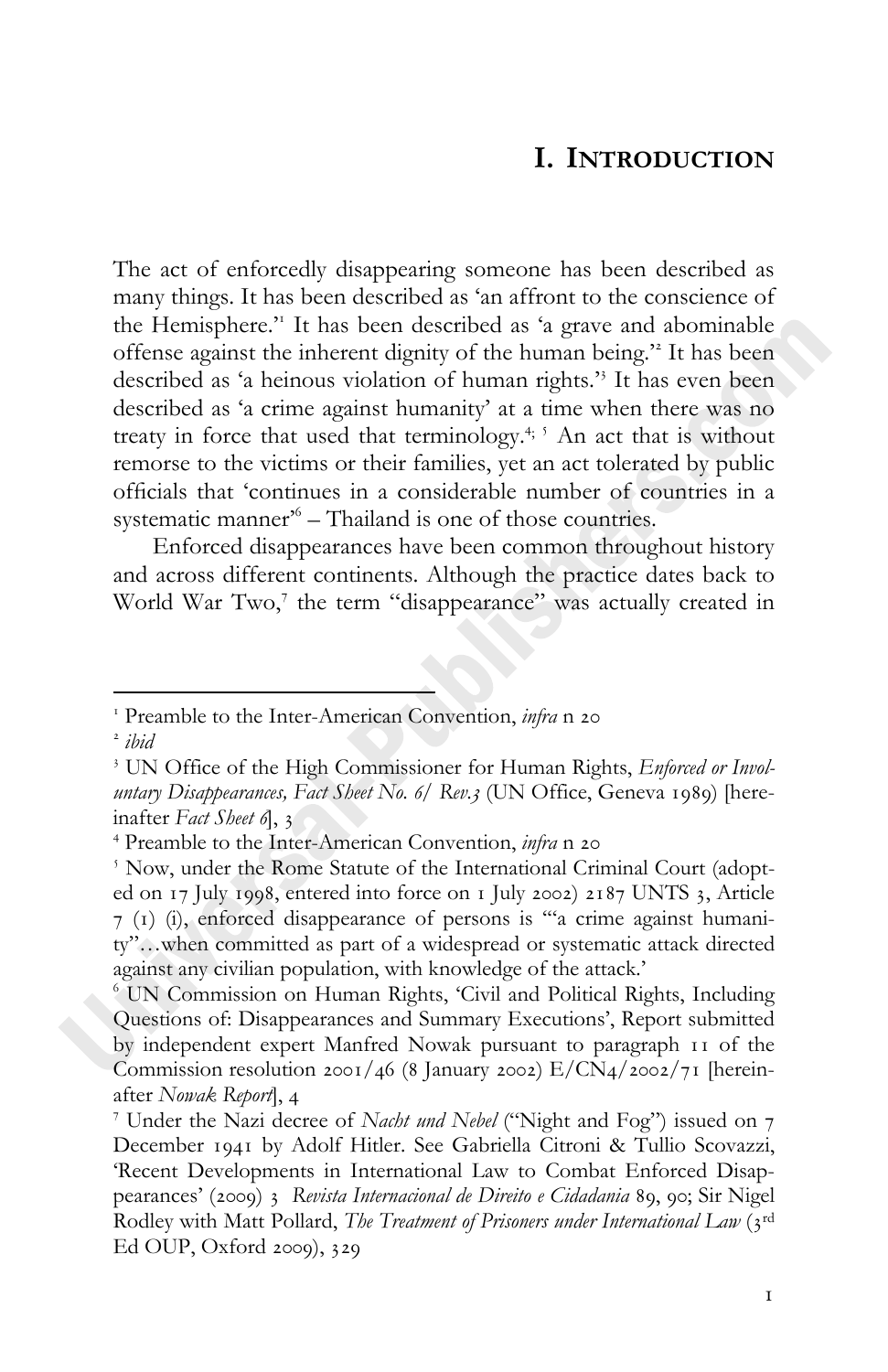## **I. INTRODUCTION**

The act of enforcedly disappearing someone has been described as many things. It has been described as 'an affront to the conscience of the Hemisphere.' It has been described as 'a grave and abominable offense against the inherent dignity of the human being.' It has been described as 'a heinous violation of human rights.' It has even been described as 'a crime against humanity' at a time when there was no treaty in force that used that terminology.<sup>4; 5</sup> An act that is without remorse to the victims or their families, yet an act tolerated by public officials that 'continues in a considerable number of countries in a systematic manner<sup>%</sup> – Thailand is one of those countries.

Enforced disappearances have been common throughout history and across different continents. Although the practice dates back to World War Two,<sup>7</sup> the term "disappearance" was actually created in

<sup>&</sup>lt;sup>1</sup> Preamble to the Inter-American Convention, *infra* n 20

*ibid*

 UN Office of the High Commissioner for Human Rights, *Enforced or Involuntary Disappearances, Fact Sheet No. 6/ Rev.3* (UN Office, Geneva 1989) [hereinafter *Fact Sheet* ],

 Preamble to the Inter-American Convention, *infra* n

<sup>&</sup>lt;sup>5</sup> Now, under the Rome Statute of the International Criminal Court (adopted on  $17$  July 1998, entered into force on  $I$  July 2002) 2187 UNTS 3, Article () (i), enforced disappearance of persons is '"a crime against humanity"…when committed as part of a widespread or systematic attack directed against any civilian population, with knowledge of the attack.'

 UN Commission on Human Rights, 'Civil and Political Rights, Including Questions of: Disappearances and Summary Executions', Report submitted by independent expert Manfred Nowak pursuant to paragraph 11 of the Commission resolution 2001/46 (8 January 2002)  $E/CN_4/2002/71$  [hereinafter *Nowak Report*],

<sup>&</sup>lt;sup>7</sup> Under the Nazi decree of *Nacht und Nebel* ("Night and Fog") issued on 7 December 1941 by Adolf Hitler. See Gabriella Citroni & Tullio Scovazzi, 'Recent Developments in International Law to Combat Enforced Disappearances' (2009) *3* Revista Internacional de Direito e Cidadania 89, 90; Sir Nigel Rodley with Matt Pollard, *The Treatment of Prisoners under International Law* (3rd) Ed OUP, Oxford  $2009$ ,  $329$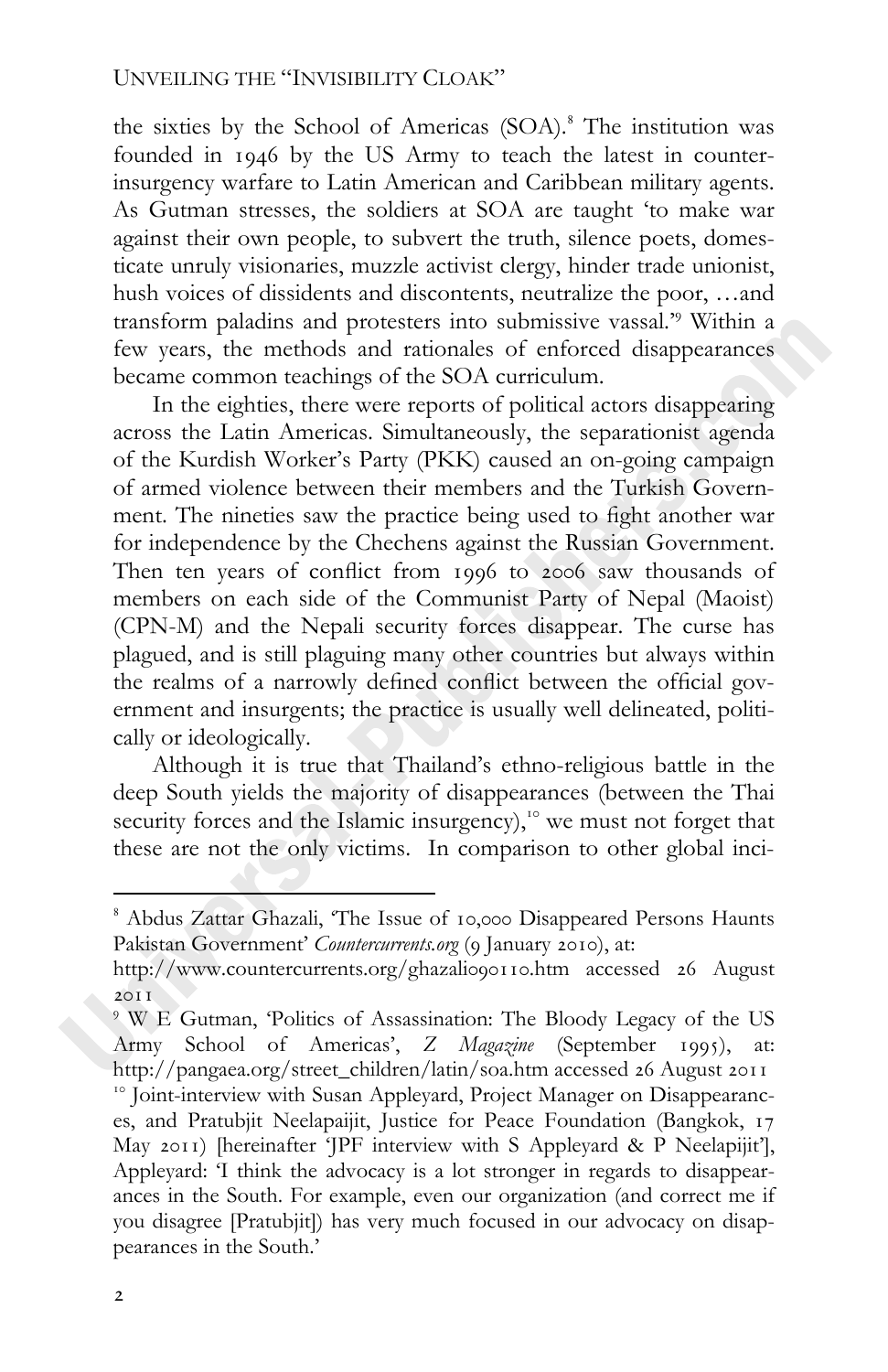the sixties by the School of Americas (SOA). The institution was founded in  $1946$  by the US Army to teach the latest in counterinsurgency warfare to Latin American and Caribbean military agents. As Gutman stresses, the soldiers at SOA are taught 'to make war against their own people, to subvert the truth, silence poets, domesticate unruly visionaries, muzzle activist clergy, hinder trade unionist, hush voices of dissidents and discontents, neutralize the poor, …and transform paladins and protesters into submissive vassal.' Within a few years, the methods and rationales of enforced disappearances became common teachings of the SOA curriculum.

In the eighties, there were reports of political actors disappearing across the Latin Americas. Simultaneously, the separationist agenda of the Kurdish Worker's Party (PKK) caused an on-going campaign of armed violence between their members and the Turkish Government. The nineties saw the practice being used to fight another war for independence by the Chechens against the Russian Government. Then ten years of conflict from 1996 to 2006 saw thousands of members on each side of the Communist Party of Nepal (Maoist) (CPN-M) and the Nepali security forces disappear. The curse has plagued, and is still plaguing many other countries but always within the realms of a narrowly defined conflict between the official government and insurgents; the practice is usually well delineated, politically or ideologically.

Although it is true that Thailand's ethno-religious battle in the deep South yields the majority of disappearances (between the Thai security forces and the Islamic insurgency),<sup>10</sup> we must not forget that these are not the only victims. In comparison to other global inci-

<sup>&</sup>lt;sup>8</sup> Abdus Zattar Ghazali, 'The Issue of 10,000 Disappeared Persons Haunts Pakistan Government' *Countercurrents.org* (9 January 2010), at:

http://www.countercurrents.org/ghazalio90110.htm accessed 26 August  $20I$ 

 W E Gutman, 'Politics of Assassination: The Bloody Legacy of the US Army School of Americas', *Z Magazine* (September 1995), at: http://pangaea.org/street\_children/latin/soa.htm accessed 26 August 2011 <sup>10</sup> Joint-interview with Susan Appleyard, Project Manager on Disappearances, and Pratubjit Neelapaijit, Justice for Peace Foundation (Bangkok, May 2011) [hereinafter 'JPF interview with S Appleyard & P Neelapijit'], Appleyard: 'I think the advocacy is a lot stronger in regards to disappearances in the South. For example, even our organization (and correct me if you disagree [Pratubjit]) has very much focused in our advocacy on disappearances in the South.'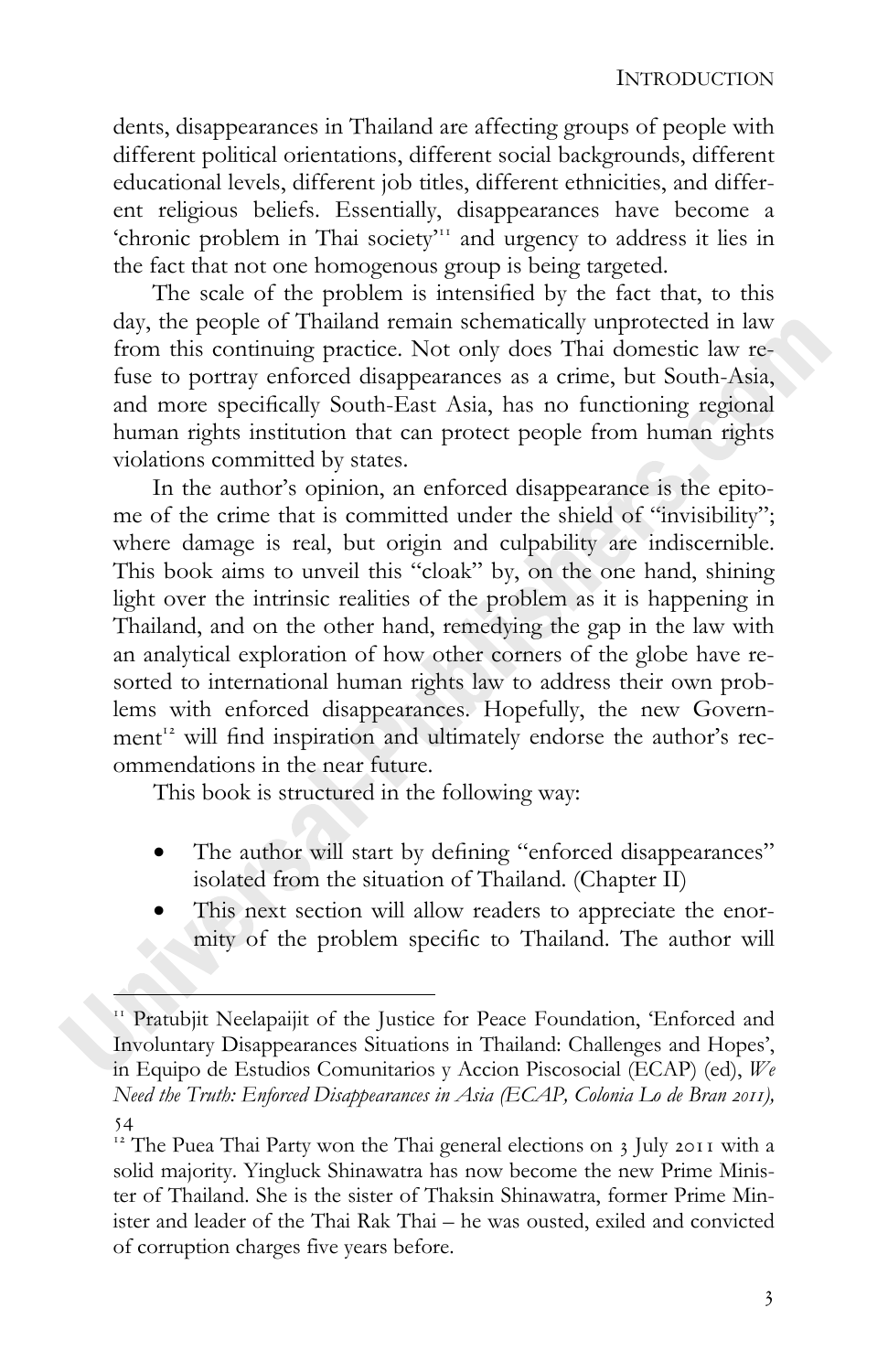dents, disappearances in Thailand are affecting groups of people with different political orientations, different social backgrounds, different educational levels, different job titles, different ethnicities, and different religious beliefs. Essentially, disappearances have become a 'chronic problem in Thai society'<sup>11</sup> and urgency to address it lies in the fact that not one homogenous group is being targeted.

The scale of the problem is intensified by the fact that, to this day, the people of Thailand remain schematically unprotected in law from this continuing practice. Not only does Thai domestic law refuse to portray enforced disappearances as a crime, but South-Asia, and more specifically South-East Asia, has no functioning regional human rights institution that can protect people from human rights violations committed by states.

In the author's opinion, an enforced disappearance is the epitome of the crime that is committed under the shield of "invisibility"; where damage is real, but origin and culpability are indiscernible. This book aims to unveil this "cloak" by, on the one hand, shining light over the intrinsic realities of the problem as it is happening in Thailand, and on the other hand, remedying the gap in the law with an analytical exploration of how other corners of the globe have resorted to international human rights law to address their own problems with enforced disappearances. Hopefully, the new Government<sup>12</sup> will find inspiration and ultimately endorse the author's recommendations in the near future.

This book is structured in the following way:

- The author will start by defining "enforced disappearances" isolated from the situation of Thailand. (Chapter II)
- This next section will allow readers to appreciate the enormity of the problem specific to Thailand. The author will

<sup>&</sup>lt;sup>11</sup> Pratubjit Neelapaijit of the Justice for Peace Foundation, 'Enforced and Involuntary Disappearances Situations in Thailand: Challenges and Hopes', in Equipo de Estudios Comunitarios y Accion Piscosocial (ECAP) (ed), *We Need the Truth: Enforced Disappearances in Asia (ECAP, Colonia Lo de Bran 2011),*  $54$ 

 $12$  The Puea Thai Party won the Thai general elections on  $3$  July 2011 with a solid majority. Yingluck Shinawatra has now become the new Prime Minister of Thailand. She is the sister of Thaksin Shinawatra, former Prime Minister and leader of the Thai Rak Thai – he was ousted, exiled and convicted of corruption charges five years before.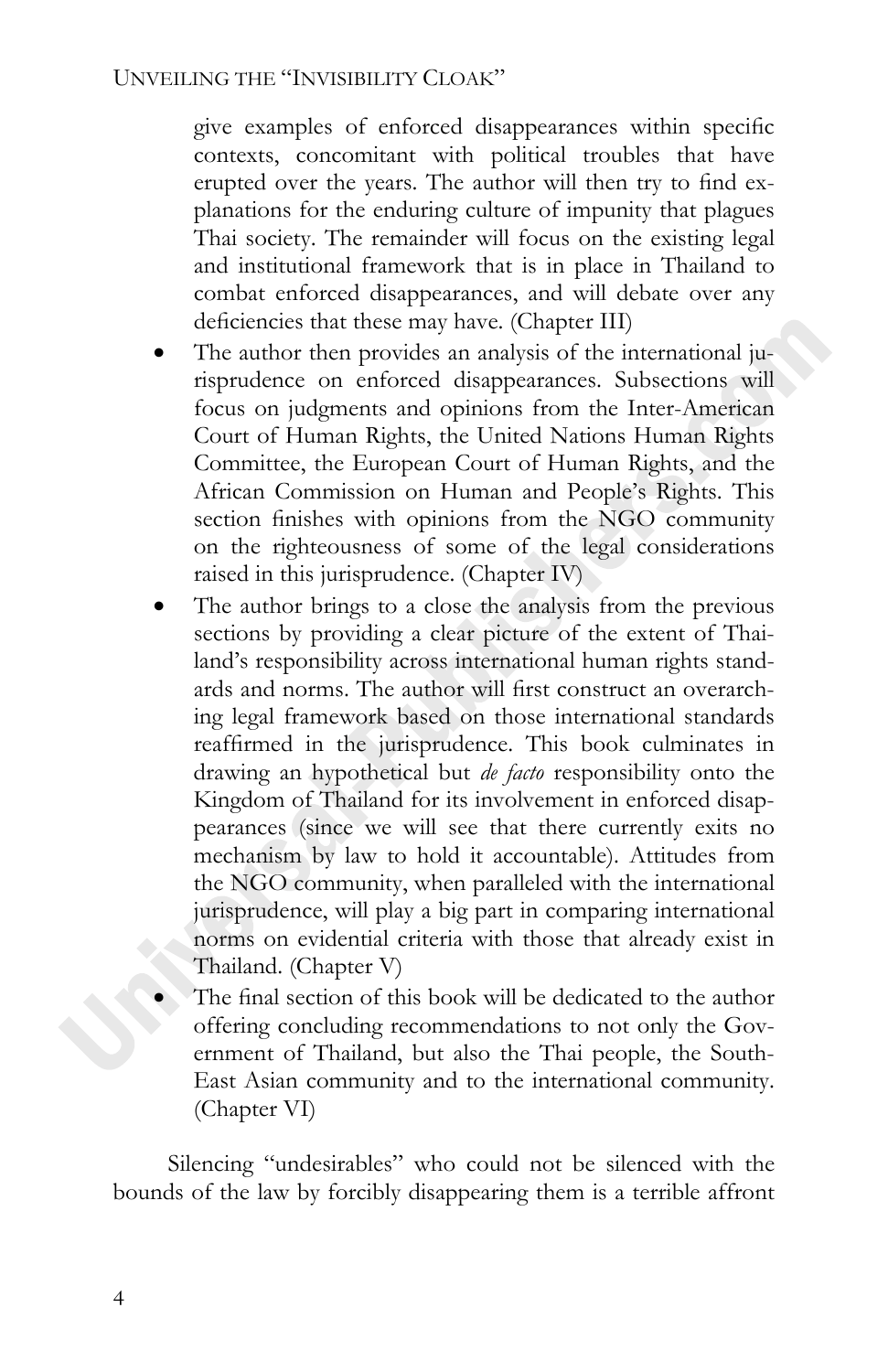give examples of enforced disappearances within specific contexts, concomitant with political troubles that have erupted over the years. The author will then try to find explanations for the enduring culture of impunity that plagues Thai society. The remainder will focus on the existing legal and institutional framework that is in place in Thailand to combat enforced disappearances, and will debate over any deficiencies that these may have. (Chapter III)

- The author then provides an analysis of the international jurisprudence on enforced disappearances. Subsections will focus on judgments and opinions from the Inter-American Court of Human Rights, the United Nations Human Rights Committee, the European Court of Human Rights, and the African Commission on Human and People's Rights. This section finishes with opinions from the NGO community on the righteousness of some of the legal considerations raised in this jurisprudence. (Chapter IV)
- The author brings to a close the analysis from the previous sections by providing a clear picture of the extent of Thailand's responsibility across international human rights standards and norms. The author will first construct an overarching legal framework based on those international standards reaffirmed in the jurisprudence. This book culminates in drawing an hypothetical but *de facto* responsibility onto the Kingdom of Thailand for its involvement in enforced disappearances (since we will see that there currently exits no mechanism by law to hold it accountable). Attitudes from the NGO community, when paralleled with the international jurisprudence, will play a big part in comparing international norms on evidential criteria with those that already exist in Thailand. (Chapter V)
- The final section of this book will be dedicated to the author offering concluding recommendations to not only the Government of Thailand, but also the Thai people, the South-East Asian community and to the international community. (Chapter VI)

Silencing "undesirables" who could not be silenced with the bounds of the law by forcibly disappearing them is a terrible affront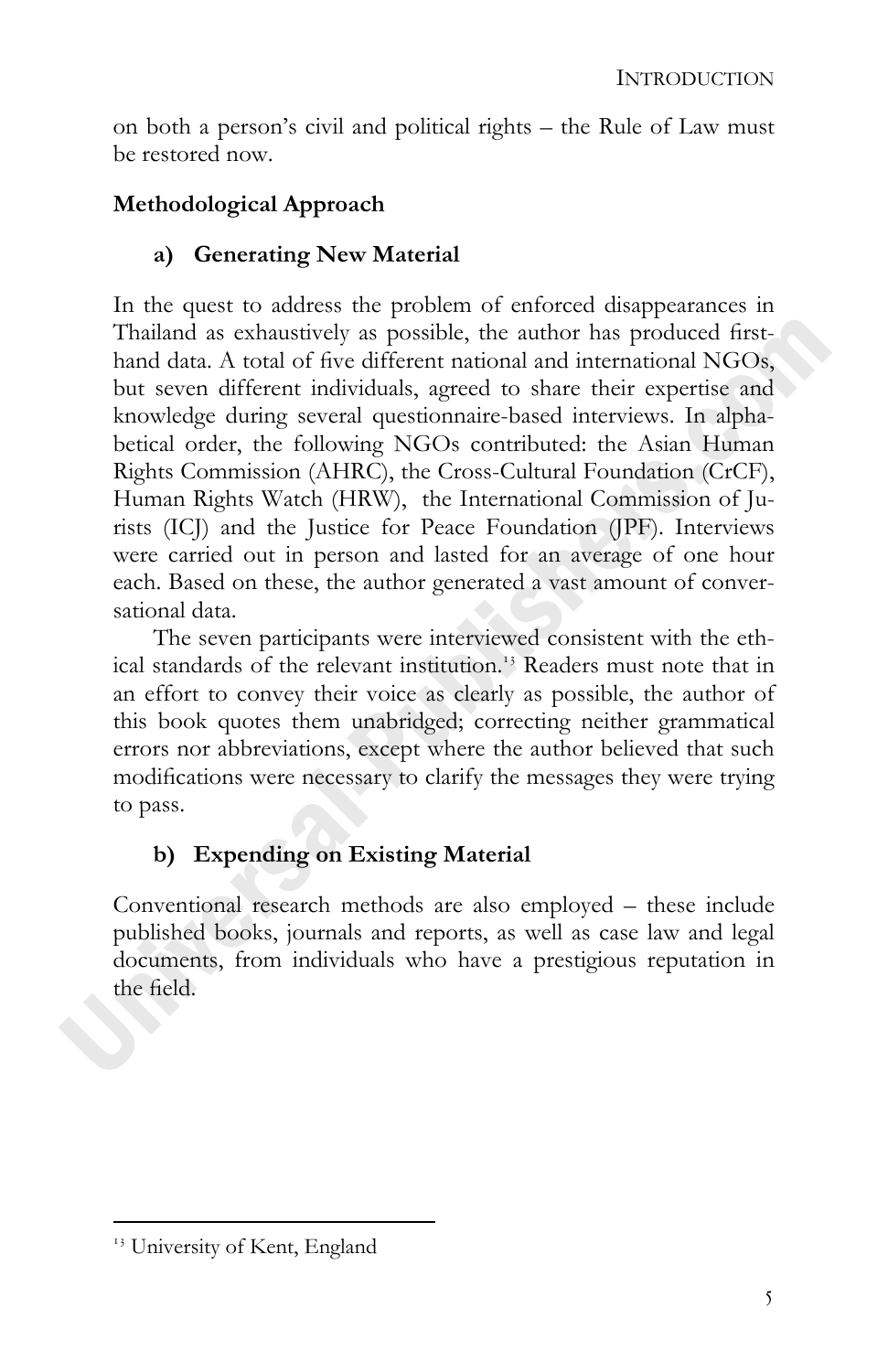on both a person's civil and political rights – the Rule of Law must be restored now.

## **Methodological Approach**

### **a) Generating New Material**

In the quest to address the problem of enforced disappearances in Thailand as exhaustively as possible, the author has produced firsthand data. A total of five different national and international NGOs, but seven different individuals, agreed to share their expertise and knowledge during several questionnaire-based interviews. In alphabetical order, the following NGOs contributed: the Asian Human Rights Commission (AHRC), the Cross-Cultural Foundation (CrCF), Human Rights Watch (HRW), the International Commission of Jurists (ICJ) and the Justice for Peace Foundation (JPF). Interviews were carried out in person and lasted for an average of one hour each. Based on these, the author generated a vast amount of conversational data.

The seven participants were interviewed consistent with the ethical standards of the relevant institution.<sup>13</sup> Readers must note that in an effort to convey their voice as clearly as possible, the author of this book quotes them unabridged; correcting neither grammatical errors nor abbreviations, except where the author believed that such modifications were necessary to clarify the messages they were trying to pass.

### **b) Expending on Existing Material**

Conventional research methods are also employed – these include published books, journals and reports, as well as case law and legal documents, from individuals who have a prestigious reputation in the field.

<sup>&</sup>lt;sup>13</sup> University of Kent, England